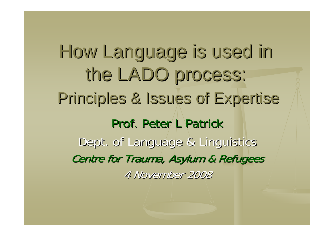How Language is used in the LADO process: Principles & Issues of Expertise Principles & Issues of Expertise Prof. Peter L Patrick Dept. of Language & Linguistics Centre for Trauma, Asylum & Refugees 4 November 2008 4 November 2008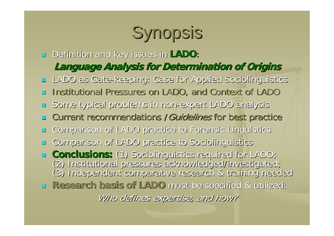# Synopsis

- $\Box$ Definition and key issues in LADO:
	- **Language Analysis for Determination of Origins Language Analysis for Determination of Origins**
- $\mathbb{R}^2$ LADO as Gate-keeping: Case for Applied Sociolinguistics
- L. Institutional Pressures on LADO, and Context of LADO
- $\mathbb{R}^2$ Some typical problems in non-expert LADO analysis
- $\mathbb{R}^2$ Current recommendations / Guidelines for best practice
- L. Comparison of LADO practice to Forensic Linguistics
- $\mathbb{R}^2$ Comparison of LADO practice to Sociolinguistics
- Conclusions: (1) Sociolinguistics required for LADO; (2) Institutional pressures acknowledged/investigated;<br>(3) Institutional pressures acknowledged/investigated;<br>(3) Independent comparative research & training needed
- **Research basis of LADO Research basis of LADO** must be specified & utilized: must be specified & utilized: Who defines expertise, and how?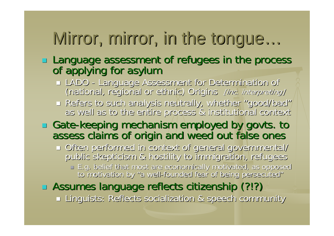#### Mirror, mirror, in the tongue …

# Language assessment of refugees in the process of applying for asylum

- LADO -(national, regional or ethnic) Origins [inc. interpreting]
- **E** Refers to such analysis neutrally, whether as well as to the entire process & institutional context

#### T □ Gate-keeping mechanism employed by govts. to assess claims of origin and weed out false ones

 Often performed in context of general governmental/ Often performed in context of general governmental/ public skepticism skepticism & hostility to immigration, refugees & hostility to immigration, refugees □ E.g. belief that most are economically motivated, as opposed<br>to motivation by "a well-founded fear of being persecuted"

### Assumes language reflects citizenship (?!?) Assumes language reflects citizenship (?!?)

Linguists: Reflects socialization & speech community Linguists: Reflects socialization & speech community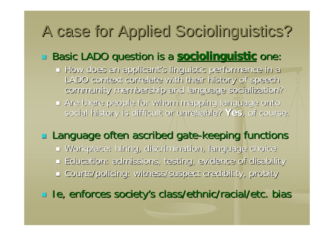## A case for Applied Sociolinguistics? A case for Applied Sociolinguistics?

#### $\Box$ **Basic LADO question is a sociolinguistic one:**

- $\blacksquare$  How does an applicant's linguistic performance in a LADO context correlate with their history of speech LADO context correlate with their history of speech community membership and language socialization? community membership and language socialization?
- $\blacksquare$  Are there people for whom mapping language onto social history is difficult or unreliable? Yes, of course.

### **Language often ascribed gate-keeping functions**

 $\blacksquare$  Workplace: hiring, discrimination, language choice Education: admissions, testing, evidence of disability Education: admissions, testing, evidence of disability Courts/policing: witness/suspect credibility, probity Courts/policing: witness/suspect credibility, probity

Ie, enforces society's class/ethnic/racial/etc. bias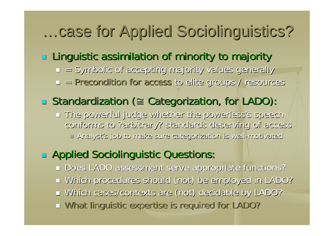### …case for Applied Sociolinguistics?

#### $\Box$  $\blacksquare$  Linguistic assimilation of minority to majority

- $\blacksquare$  = Symbolic of accepting majority values generally
- $\Box$  = Precondition for access to elite groups / resources

#### $\Box$ Standardization ( Standardization (<sup>≅</sup> Categorization, for LADO): Categorization, for LADO):

 $\blacksquare$  The powerful judge whether the powerless's speech conforms to ?arbitrary? standards deserving of access  $\Box$  Analyst's job to make sure categorization is well-motivated

#### $\Box$ **E** Applied Sociolinguistic Questions:

- Does LADO assessment serve appropriate functions?
- $\blacksquare$  Which procedures should (not) be employed in LADO?
- Which cases/contexts are (not) decidable by LADO?
- u What linguistic expertise is required for LADO?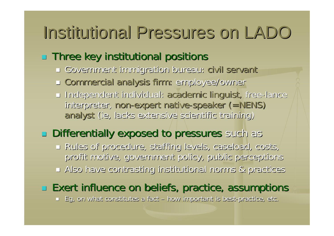## Institutional Pressures on LADO

#### $\Box$  $\Box$  Three key institutional positions

- Government immigration bureau: Government immigration bureau: civil servant civil servant
- L Commercial analysis firm: employee/owner
- $\textcolor{black}{\blacksquare}$  Independent individual: academic linguist, free-lance interpreter, non-expert native-speaker (=NENS) analyst (ie, lacks extensive scientific training)

#### $\Box$ **Differentially exposed to pressures** such as

 Rules of procedure, staffing levels, caseload, costs, Rules of procedure, staffing levels, caseload, costs, profit motive, government policy, public perceptions  $\blacksquare$  Also have contrasting institutional norms & practices

### $\Box$  Exert influence on beliefs, practice, assumptions

 $\blacksquare$  Eg, on what constitutes a fact – how important is best-practice, etc.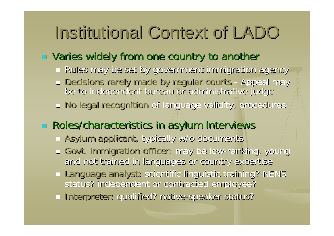# Institutional Context of LADO

#### $\Box$  $\Box$  Varies widely from one country to another

- $\textcolor{red}{\blacksquare}$  Rules may be set by government immigration agency
- $\Box$  Decisions rarely made by regular courts -Decisions rarely made by regular courts - Appeal may<br>be to independent bureau or administrative judge
- n No legal recognition of language validity, procedures

### **Roles/characteristics in asylum interviews**

- $\Box$  Asylum applicant, typically w/o documents
- u Govt. immigration officer: may be low-ranking, young and not trained in languages or country expertise
- Language analyst: scientific linguistic training? NENS status? independent or contracted employee?
- **Interpreter: qualified? native-speaker status?**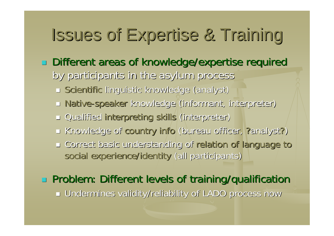# Issues of Expertise & Training Issues of Expertise & Training

- Different areas of knowledge/expertise required Different areas of knowledge/expertise required
	- by participants in the asylum process by participants in the asylum process
		- **Exagentific linguistic knowledge (analyst)** under
		- **D** Native-speaker knowledge (informant, interpreter)
		- **Qualified interpreting skills (interpreter)**
		- I Knowledge of country info (bureau officer, ?analyst?)
		- $\Box$  Correct basic understanding of relation of language to social experience/identity (all participants)

### **Problem: Different levels of training/qualification**

Undermines validity/reliability of LADO process now Undermines validity/reliability of LADO process now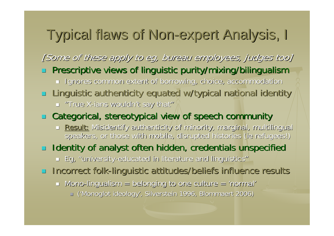### Typical flaws of Non-expert Analysis, I

[Some of these apply to eg, bureau employees, judges too]

- $\mathbb{R}^2$  Prescriptive views of linguistic purity/mixing/bilingualism Prescriptive views of linguistic purity/mixing/bilingualism
	- $\textcolor{red}{\blacksquare}$  Ignores common extent of borrowing, choice, accommodation
- Linguistic authenticity equated w/typical national identity
	- $\Box$  "True X-ians wouldn't say that"

### **EXTEE Categorical, stereotypical view of speech community**

n <u>Result:</u> Misidentify authenticity of minority, marginal, multilingual Misidentify authenticity of minority, marginal, multilingual, m speakers, or those with mobile, disrupted histories (ie refugees!)

#### $\Box$  Identity of analyst often hidden, credentials unspecified

- $\blacksquare$  Eg, "university-educated in literature and linguistics"
- **Incorrect folk-linguistic attitudes/beliefs influence results** 
	- $\blacksquare$  Mono-lingualism  $=$  belonging to one culture  $=$  'normal'
		- J ('Monoglot ideology', Silverstein 1996, Blommaert 2006)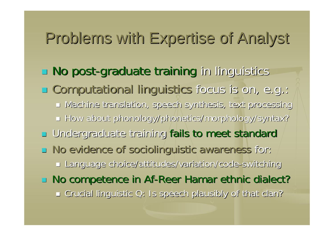### Problems with Expertise of Analyst Problems with Expertise of Analyst

- **No post-graduate training in linguistics in linguistics**
- **E** Computational linguistics focus is on, e.g.:
	- $\blacksquare$  Machine translation, speech synthesis, text processing
	- How about phonology/phonetics/morphology/syntax? How about phonology/phonetics/morphology/syntax?
- **u** Undergraduate training fails to meet standard
- $\Box$  No evidence of sociolinguistic awareness for:
	- Language choice/attitudes/variation/code-switching
- $\Box$  No competence in Af-Reer Hamar ethnic dialect?  $\blacksquare$  Crucial linguistic Q: Is speech plausibly of that clan?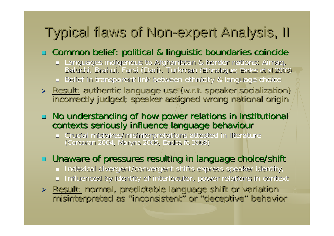### Typical flaws of Non-expert Analysis, II

### $\Box$  Common belief: political & linguistic boundaries coincide

- Languages indigenous to Afghanistan & border nations: Aimaq,<br>Baluchi, Brahui, Farsi (Dari), Turkman (Ethnologue; Eades et al 2003)
- $\Box$  Belief in transparent link between ethnicity & language choice
- > Result: authentic language use (w.r.t. speaker socialization)<br>| incorrectly judged; speaker assigned wrong national origin

# □ No understanding of how power relations in institutional<br>contexts seriously influence language behaviour

Crucial mistakes/misinterpretations attested in literature Crucial mistakes/misinterpretations attested in literature (Corcoran 2004, Maryns 2005, Eades oran 2004, Maryns 2005, Eades fc 2008)

### $\Box$  Unaware of pressures resulting in language choice/shift

- $\blacksquare$  Indexical divergent/convergent shifts express speaker identity,
- $\blacksquare$  Influenced by identity of interlocutor, power relations in context

> Result: normal, predictable language shift or variation > Result: normal, predictable language shift or variation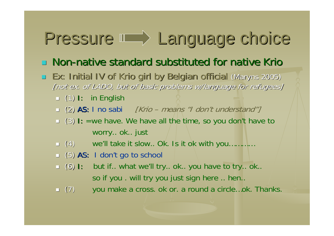# Pressure III<sup>></sup> Language choice

### $\Box$  Non-native standard substituted for native Krio

- **Ex: Initial IV of Krio girl by Belgian official (Maryns 2005)** [not ex. of LADO, but of basic problems w/language for refugees]
	- $\blacksquare$  $(1)$  I: in English
	- $\Box$  (2) AS: I no sabi [Krio means "I don't understand"]
	- □ (3) I: =we have. We have all the time, so you don't have to worry.. ok.. just
	- $\Box$  (4) (4) (4) we'll take it slow.. Ok. Is it ok with you…………
	- □ (5) AS: I don't go to school
	- $\Box$  (6) : but if.. what we'll try.. ok.. you have to try.. ok.. so if you . will try you just sign here .. hen..
	- $\Box$  (7) you make a cross. ok or. a round a circle...ok. Thanks.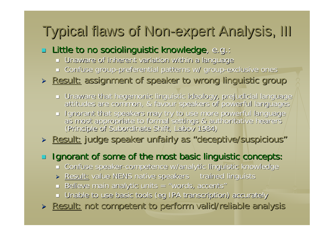### Typical flaws of Non-expert Analysis, III

#### $\Box$  Little to no sociolinguistic knowledge, e.g.:

- $\blacksquare$  Unaware of inherent variation within a language
- $\Box$  Confuse group-preferential patterns w/ group-exclusive ones

### > Result: assignment of speaker to wrong linguistic group

- ∟ Unaware that hegemonic linguistic ideology, prejudicial language<br>√attitudes are common, & favour speakers of powerful languages
- Ignorant that speakers may try to use more powerful language<br>as most appropriate to formal settings & authoritative hearers<br>(Principle of Subordinate Shift, Labov 1984)

### > Result: judge speaker unfairly as "deceptive/suspicious"

### $\Box$  Ignorant of some of the most basic linguistic concepts:

- $\Box$ Confuse speaker-competence w/analytic linguistic knowledge
- » Result: value NENS native speakers variained linguists
- $\Box$  Believe main analytic units = "words, accents"
- $\blacksquare$  Unable to use basic tools (eg IPA transcription) accurately
- > Result: not competent to perform valid/reliable analysis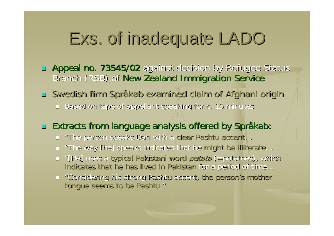## Exs. of inadequate LADO

- **Appeal no. 73545/02** against decision by Refugee Status Branch (RSB) of New Zealand Immigration Service
- □ Swedish firm Språkab examined claim of Afghani origin
	- $\blacksquare$  Based on tape of appellant speaking for c. 15 minutes

### Extracts from language analysis offered by Extracts from language analysis offered by Språkab:

- □ "The person speaks Dari with a <mark>clear Pashtu accent…</mark>
- $\Box$  "The way [he] speaks indicates that he might be illiterate...
- = "[He] uses a typical Pakistani word *patata* (=potatoes), which indicates that he has lived in Pakistan for a period of time…
- **The "Considering his strong Pashtu accent, the person's mother** tongue seems to be Pashtu."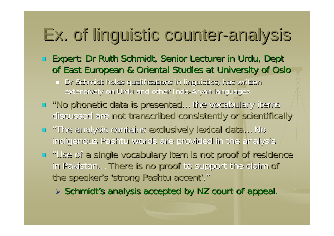# Ex. of linguistic counter-analysis

- $\Box$  Expert: Dr Ruth Schmidt, Senior Lecturer in Urdu, Dept of East European & Oriental Studies at University of Oslo
	- $\Box$  Dr Schmidt holds qualifications in linguistics, has written  $\Box$ extensively on Urdu and other Indo-Aryan languages
- **.** "No phonetic data is presented... the vocabulary items discussed are not transcribed consistently or scientifically
- "The analysis contains exclusively lexical data... No indigenous Pashtu words are provided in the analysis
- $\blacksquare$  "Use of a single vocabulary item is not proof of residence in Pakistan… There is no proof to support the claim of the speaker's 'strong Pashtu accent'."
	- $\triangleright$  Schmidt's analysis accepted by NZ court of appeal.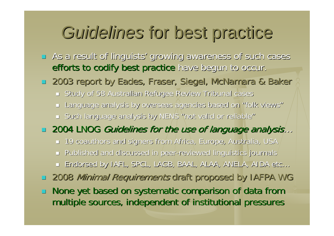## Guidelines for best practice

- **E** As a result of linguists' growing awareness of such cases efforts to codify best practice have begun to occur.
- □ 2003 report by Eades, Fraser, Siegel, McNamara & Baker
	- $\blacksquare$  Study of 58 Australian Refugee Review Tribunal cases
	- $\blacksquare$  Language analysis by overseas agencies based on "folk views"
	- $\Box$  Such language analysis by NENS "not valid or reliable"

#### □ 2004 LNOG *Guidelines for the use of language analysis…*

- $\Box$  19 coauthors and signers from Africa, Europe, Australia, USA  $\Box$
- $\Box$  Published and discussed in peer-reviewed linguistics journals  $\Box$
- Endorsed by IAFL, SPCL, LAGB, BAAL, ALAA, ANELA, AIDA etc…
- Œ 2008 Minimal Requirements draft proposed by IAFPA WG
- $\mathcal{L}$ None yet based on systematic comparison of data from multiple sources, independent of institutional pressures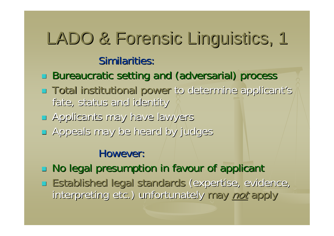## LADO & Forensic Linguistics, 1 Similarities:

### Bureaucratic setting and (adversarial) process

- Г  $\blacksquare$  Total institutional power to determine applicant's fate, status and identity
- **Applicants may have lawyers**
- $\Box$ Appeals may be heard by judges Appeals may be heard by judges

### However:

- $\Box$  No legal presumption in favour of applicant
- **Established legal standards (expertise, evidence,** interpreting etc.) unfortunately may not apply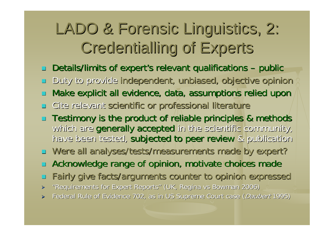### LADO & Forensic Linguistics, 2: **Credentialling of Experts**

- $\Box$  $\Box$  Details/limits of expert's relevant qualifications –public
- $\mathbb{R}^2$ Duty to provide independent, unbiased, objective opinion
- $\mathbb{R}^2$ Make explicit all evidence, data, assumptions relied upon
- L. Cite relevant scientific or professional literature
- $\Box$  Testimony is the product of reliable principles & methods which are generally accepted in the scientific community, have been tested, subjected to peer review & publication
- □ Were all analyses/tests/measurements made by expert?
- $\mathbb{R}^2$ Acknowledge range of opinion, motivate choices made
- $\mathbb{R}^2$ Fairly give facts/arguments counter to opinion expressed
- ► "Requirements for Expert Reports" (UK, Regina vs Bowman 2006)
- ▶ Federal Rule of Evidence 702, as in US Supreme Court case (*Daubert* 1995)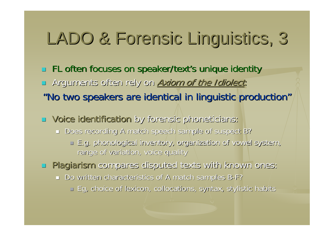# LADO & Forensic Linguistics, 3

- **FL often focuses on speaker/text's unique identity igntless on speaker/text's unique identity**
- $\mathbb{R}^2$ Arguments often rely on Axiom of the Idiolect:
- "No two speakers are identical in linguistic production"
- **u** Voice identification by forensic phoneticians:
	- Does recording A match speech sample of suspect B?
		- $\Box$  E.g. phonological inventory, organization of vowel system, range of variation, voice quality
- $\Box$  Plagiarism compares disputed texts with known ones:
	- $\Box$  Do written characteristics of A match samples B-F?
		- $\lnot$  Eg, choice of lexicon, collocations, syntax, stylistic habits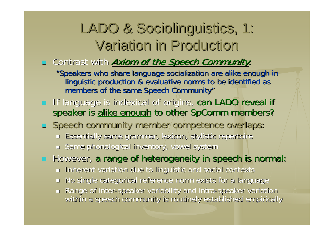### LADO & Sociolinguistics, 1: Variation in Production Variation in Production

#### **Example 2 Contrast with Axiom of the Speech Community:**

"Speakers who share language socialization are alike enough in linguistic production & evaluative norms to be identified as members of the same Speech Community"

- **If language is indexical of origins, can LADO reveal if** speaker is alike enough to other SpComm members?
- $\Box$  Speech community member/competence overlaps:
	- $\blacksquare$  Essentially same grammar, lexicon, stylistic repertoire
	- $\Box$  Same phonological inventory, vowel system

**However, a range of heterogeneity in speech is normal: a** 

- $\blacksquare$  Inherent variation due to linguistic and social contexts
- $\blacksquare$  No single categorical reference norm exists for a language
- $\blacksquare$  Range of inter-speaker variability and intra-speaker variation  $\blacksquare$ within a speech community is routinely established empirically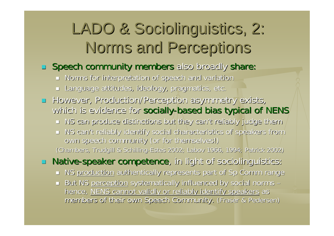### LADO & Sociolinguistics, 2: Norms and Perceptions

#### **Speech community members** also broadly share:

- $\blacksquare$  Norms for interpretation of speech and variation
- ┙ Language attitudes, ideology, pragmatics, etc.
- **However, Production/Perception asymmetry exists,** which is evidence for socially-based bias typical of NENS
	- $\blacksquare$  NS can produce distinctions but they can't reliably judge them
	- $\blacksquare$  NS can't reliably identify social characteristics of speakers from own speech community (or for themselves!) (Chambers, Trudgill & Schilling-Estes 2002; Labov 1966, 1994; Patrick 2002)

**Native-speaker competence**, in light of sociolinguistics:

- **NS <u>production</u> authentically represents part of Sp Comm range**
- $\Box$  But NS <u>perception</u> systematically influenced by social norms  $\Box$ – hence, NENS cannot validly or reliably identify speakers as members of their own Speech Community. (Fraser & Pedersen)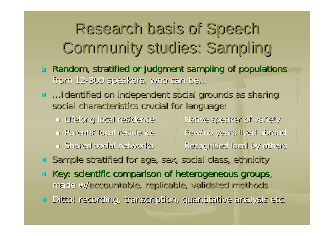## Research basis of Speech Research basis of Speech Community studies: Sampling

- $\Box$ Random, stratified or judgment sampling of populations from 12-300 speakers, who can be...
- **...Identified on independent social grounds as sharing** social characteristics crucial for language:
	- $\blacksquare$  Lifelong local residence  $\blacksquare/\blacksquare$  Native speaker of variety  $\blacksquare$  Parents' local residence
	- $\blacksquare$  Shared social networks
- Few/no years lived abroad Recognised local by others
- $\mathbb{R}^2$ Sample stratified for age, sex, social class, ethnicity
- L. Key: scientific comparison of heterogeneous groups, made w/accountable, replicable, validated methods  $\blacksquare$ Ditto: recording, transcription, quantitative analysis etc.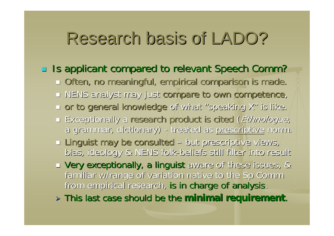## Research basis of LADO? Research basis of LADO?

### □ Is applicant compared to relevant Speech Comm?

- $\Box$  Often, no meaningful, empirical comparison is made.
- **u** NENS analyst may just compare to own competence,
- $\Box$  or to general knowledge of what "speaking X" is like.
- Exceptionally a research product is cited (Ethnologue, a grammar, dictionary) --/treated as <u>prescriptive</u> norm.
- $\lnot$  Linguist may be consulted – $-$  but prescriptive views, $\sqrt{ }$ bias, ideology & NENS folk-beliefs still filter into result
- **u Very exceptionally, a linguist** aware of these issues, & familiar w/range of variation native to the Sp Comm from empirical research, is in charge of analysis.

¾ This last case should be the This last case should be the **minimal requirement minimal requirement**.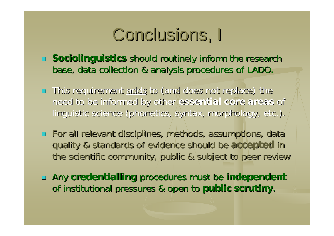Conclusions, I

- **Sociolinguistics** should routinely inform the research base, data collection & analysis procedures of LADO.
- **This requirement adds to (and does not replace) the 4** need to be informed by other need to be informed by other **essential essential core areas core areas** of linguistic science (phonetics, syntax, morphology, etc.).
- $\Box$  For all relevant disciplines, methods, assumptions, data quality & standards of evidence should be quality & standards of evidence should be **accepted accepted** in the scientific community, public & subject to peer review
- **EXT Any credentialling procedures must be independent** of institutional pressures & open to public scrutiny.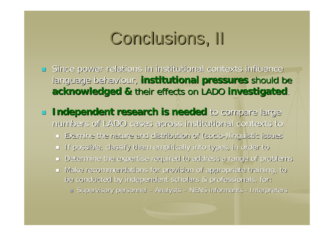# Conclusions, II

 $\Box$  Since power relations in institutional contexts influence language behaviour, institutional pressures should be **acknowledged & their effects on LADO investigated.** 

 $\mathbb{R}^2$ **Independent research is needed** to compare large numbers of LADO cases across institutional contexts to

 $\blacksquare$  Examine the nature and distribution of (socio-)linguistic issues

- $\blacksquare$  If possible, classify them empirically into types, in order to
- $\Box$  Determine the expertise required to address a range of problems
- $\blacksquare$  Make recommendations for provision of appropriate training, to be conducted by independent scholars & professionals, for:

→ Supervisory personnel – Analysts – NENS informants - Interpreters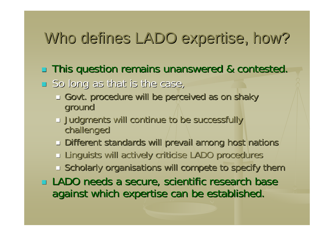### Who defines LADO expertise, how?

This question remains unanswered & contested. This question remains unanswered & contested.

- $\Box$  So long as that is the case,
	- $\Box$  Govt. procedure will be perceived as on shaky ground
	- $\lrcorner$  Judgments will continue to be successfully  $\lrcorner$ challenged
	- $\Box$  Different standards will prevail among host nations
	- $\Box$  Linguists will actively criticise LADO procedures
	- $\Box$  Scholarly organisations will compete to specify them

 $\Box$  LADO needs a secure, scientific research base against which expertise can be established.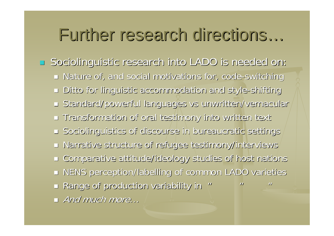### Further research directions...

 $\Box$ **Sociolinguistic research into LADO is needed on:** Sociolinguistic research into LADO is needed on:

- $\blacksquare$  Nature of, and social motivations for, code-switching
- Ditto for linguistic accommodation and style Ditto for linguistic accommodation and style-shifting shifting
- $=$  Standard/powerful languages vs unwritten/vernacular
- $\blacksquare$  Transformation of oral testimony into written text
- $\Box$  Sociolinguistics of discourse in bureaucratic settings
- $\Box$  Narrative structure of refugee testimony/interviews
- Comparative attitude/ideology studies of host nations Comparative attitude/ideology studies of host nations
- $\blacksquare$  NENS perception/labelling of common LADO varieties

"

 $\mathbf{u}$ 

- $\Box$  Range of production variability in  $\degree$
- $\blacksquare$  And much more…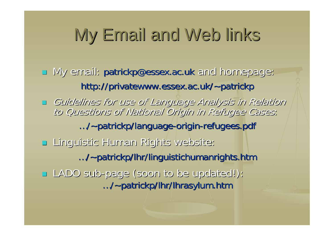# My Email and Web links

- T My email: patrickp@essex.ac.uk and homepage: http://privatewww.essex.ac.uk/~patrickp
- Guidelines for use of Language Analysis in Relation to Questions of National Origin in Refugee Cases: .../~patrickp/language-origin-refugees.pdf
- Π Linguistic Human Rights website: Linguistic Human Rights website: …/~patrickp/lhr/linguistichumanrights.htm patrickp/lhr/linguistichumanrights.htm LADO sub-page (soon to be updated!): .../~patrickp/lhr/lhrasylum.htm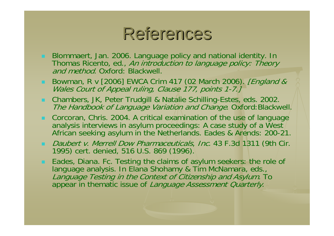### References

- Blommaert, Jan. 2006. Language policy and national identity. In Thomas Ricento, ed., *An introduction to language policy: Theory* and method. Oxford: Blackwell.
- Bowman, R v [2006] EWCA Crim 417 (02 March 2006). *[England &*<br>Wales Court of Appeal ruling, Clause 177, points 1-7.]
- Chambers, JK, Peter Trudgill & Natalie Schilling-Estes, eds. 2002. The Handbook of Language Variation and Change. Oxford:Blackwell.
- **E** Corcoran, Chris. 2004. A critical examination of the use of language analysis interviews in asylum proceedings: A case study of a West $_{\rm /}$ African seeking asylum in the Netherlands. Eades & Arends: 200-21.
- Daubert v. Merrell Dow Pharmaceuticals, Inc. 43 F.3d 1311 (9th Cir. 1995) cert. denied, 516 U.S. 869 (1996).
- Eades, Diana. Fc. Testing the claims of asylum seekers: the role of language analysis. In Elana Shohamy & Tim McNamara, eds., Language Testing in the Context of Citizenship and Asylum. To appear in thematic issue of Language Assessment Quarterly.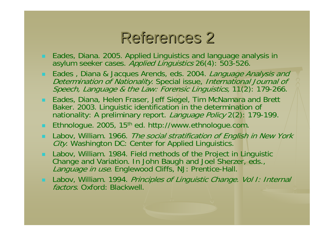### References 2

- Eades, Diana. 2005. Applied Linguistics and language analysis in asylum seeker cases. *Applied Linguistics* 26(4): 503-526.
- **Eades** , Diana & Jacques Arends, eds. 2004. *Language Analysis and* Determination of Nationality. Special issue, International Journal of Speech, Language & the Law: Forensic Linguistics, 11(2): 179-266.
- Eades, Diana, Helen Fraser, Jeff Siegel, Tim McNamara and Brett Baker. 2003. Linguistic identification in the determination of nationality: A preliminary report. Language Policy 2(2): 179-199.
- $\blacksquare$  Ethnologue. 2005, 15<sup>th</sup> ed. http://www.ethnologue.com.
- **Labov, William. 1966.** *The social stratification of English in New York* City. Washington DC: Center for Applied Linguistics.
- Labov, William. 1984. Field methods of the Project in Linguistic Change and Variation. In John Baugh and Joel Sherzer, eds., Language in use. Englewood Cliffs, NJ: Prentice-Hall.
- **Labov, William. 1994.** *Principles of Linguistic Change. Vol 1: Internal* factors. Oxford: Blackwell.